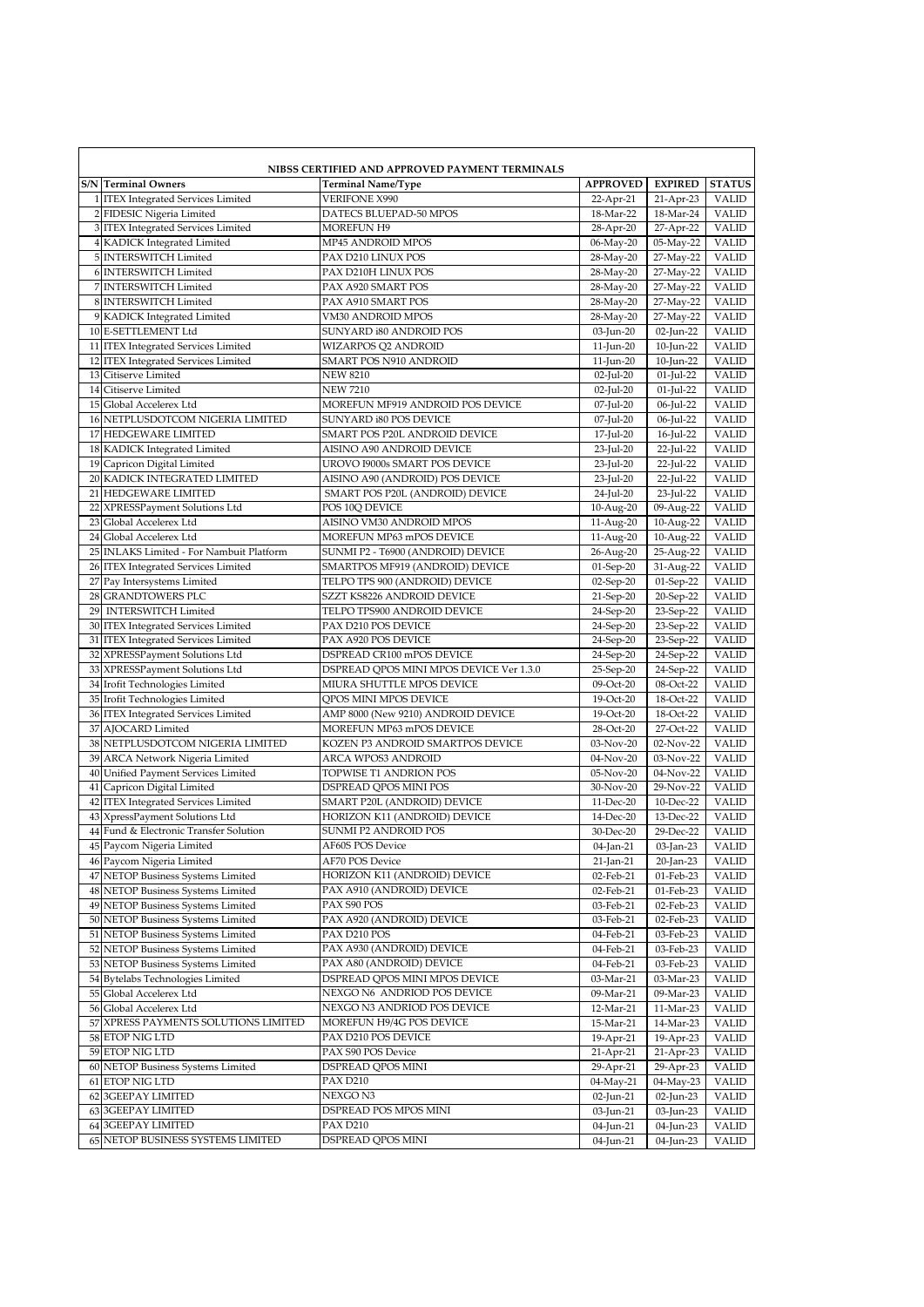| NIBSS CERTIFIED AND APPROVED PAYMENT TERMINALS |                                                                 |                                                           |                        |                        |                       |  |  |
|------------------------------------------------|-----------------------------------------------------------------|-----------------------------------------------------------|------------------------|------------------------|-----------------------|--|--|
|                                                | <b>S/N</b> Terminal Owners                                      | <b>Terminal Name/Type</b>                                 | <b>APPROVED</b>        | <b>EXPIRED</b>         | <b>STATUS</b>         |  |  |
|                                                | 1 ITEX Integrated Services Limited                              | <b>VERIFONE X990</b>                                      | 22-Apr-21              | 21-Apr-23              | <b>VALID</b>          |  |  |
|                                                | 2 FIDESIC Nigeria Limited                                       | DATECS BLUEPAD-50 MPOS                                    | 18-Mar-22              | 18-Mar-24              | <b>VALID</b>          |  |  |
|                                                | 3 ITEX Integrated Services Limited                              | <b>MOREFUN H9</b>                                         | 28-Apr-20              | 27-Apr-22              | <b>VALID</b>          |  |  |
|                                                | 4 KADICK Integrated Limited                                     | MP45 ANDROID MPOS                                         | 06-May-20              | 05-May-22              | <b>VALID</b>          |  |  |
|                                                | 5 INTERSWITCH Limited                                           | PAX D210 LINUX POS                                        | 28-May-20              | 27-May-22              | <b>VALID</b>          |  |  |
|                                                | 6 INTERSWITCH Limited                                           | PAX D210H LINUX POS                                       | 28-May-20              | 27-May-22              | <b>VALID</b>          |  |  |
|                                                | 7 INTERSWITCH Limited                                           | PAX A920 SMART POS                                        | 28-May-20              | 27-May-22              | <b>VALID</b>          |  |  |
|                                                | 8 INTERSWITCH Limited                                           | PAX A910 SMART POS                                        | 28-May-20              | 27-May-22              | <b>VALID</b>          |  |  |
|                                                | 9 KADICK Integrated Limited                                     | <b>VM30 ANDROID MPOS</b>                                  | 28-May-20              | 27-May-22              | <b>VALID</b>          |  |  |
|                                                | 10 E-SETTLEMENT Ltd                                             | SUNYARD 180 ANDROID POS                                   | 03-Jun-20              | 02-Jun-22              | <b>VALID</b>          |  |  |
|                                                | 11 ITEX Integrated Services Limited                             | WIZARPOS Q2 ANDROID                                       | 11-Jun-20              | 10-Jun-22              | <b>VALID</b>          |  |  |
|                                                | 12 ITEX Integrated Services Limited                             | SMART POS N910 ANDROID                                    | 11-Jun-20              | 10-Jun-22              | <b>VALID</b>          |  |  |
|                                                | 13 Citiserve Limited                                            | <b>NEW 8210</b>                                           | $02$ -Jul-20           | $01$ -Jul-22           | <b>VALID</b>          |  |  |
|                                                | 14 Citiserve Limited                                            | <b>NEW 7210</b>                                           | $02$ -Jul-20           | $01$ -Jul-22           | <b>VALID</b>          |  |  |
|                                                | 15 Global Accelerex Ltd                                         | MOREFUN MF919 ANDROID POS DEVICE                          | 07-Jul-20              | 06-Jul-22              | <b>VALID</b>          |  |  |
|                                                | 16 NETPLUSDOTCOM NIGERIA LIMITED                                | SUNYARD 180 POS DEVICE                                    | 07-Jul-20              | 06-Jul-22              | <b>VALID</b>          |  |  |
|                                                | 17 HEDGEWARE LIMITED                                            | SMART POS P20L ANDROID DEVICE                             | 17-Jul-20              | 16-Jul-22              | <b>VALID</b>          |  |  |
|                                                | 18 KADICK Integrated Limited                                    | AISINO A90 ANDROID DEVICE                                 | 23-Jul-20              | 22-Jul-22              | <b>VALID</b>          |  |  |
|                                                | 19 Capricon Digital Limited                                     | UROVO I9000s SMART POS DEVICE                             | 23-Jul-20              | 22-Jul-22              | <b>VALID</b>          |  |  |
|                                                | 20 KADICK INTEGRATED LIMITED                                    | AISINO A90 (ANDROID) POS DEVICE                           | 23-Jul-20              | 22-Jul-22              | <b>VALID</b>          |  |  |
|                                                | 21 HEDGEWARE LIMITED                                            | SMART POS P20L (ANDROID) DEVICE                           | 24-Jul-20              | 23-Jul-22              | <b>VALID</b>          |  |  |
|                                                | 22 XPRESSPayment Solutions Ltd                                  | POS 10O DEVICE                                            | 10-Aug-20              | 09-Aug-22              | <b>VALID</b>          |  |  |
|                                                | 23 Global Accelerex Ltd                                         | AISINO VM30 ANDROID MPOS                                  | 11-Aug-20              | 10-Aug-22              | <b>VALID</b>          |  |  |
|                                                | 24 Global Accelerex Ltd                                         | MOREFUN MP63 mPOS DEVICE                                  | 11-Aug-20              | 10-Aug-22              | <b>VALID</b>          |  |  |
|                                                | 25 INLAKS Limited - For Nambuit Platform                        | SUNMI P2 - T6900 (ANDROID) DEVICE                         | 26-Aug-20              | 25-Aug-22              | <b>VALID</b>          |  |  |
|                                                | 26 ITEX Integrated Services Limited                             | SMARTPOS MF919 (ANDROID) DEVICE                           | 01-Sep-20              | 31-Aug-22              | <b>VALID</b>          |  |  |
|                                                | 27 Pay Intersystems Limited                                     | TELPO TPS 900 (ANDROID) DEVICE                            | $02-Sep-20$            | 01-Sep-22              | <b>VALID</b>          |  |  |
|                                                | 28 GRANDTOWERS PLC                                              | SZZT KS8226 ANDROID DEVICE                                | 21-Sep-20              | 20-Sep-22              | <b>VALID</b>          |  |  |
|                                                | 29 INTERSWITCH Limited                                          | TELPO TPS900 ANDROID DEVICE                               | 24-Sep-20              | 23-Sep-22              | <b>VALID</b>          |  |  |
|                                                | 30 ITEX Integrated Services Limited                             | PAX D210 POS DEVICE                                       | 24-Sep-20              | 23-Sep-22              | <b>VALID</b>          |  |  |
|                                                | 31 ITEX Integrated Services Limited                             | PAX A920 POS DEVICE                                       | 24-Sep-20              | 23-Sep-22              | <b>VALID</b>          |  |  |
|                                                | 32 XPRESSPayment Solutions Ltd                                  | DSPREAD CR100 mPOS DEVICE                                 | 24-Sep-20              | 24-Sep-22              | <b>VALID</b>          |  |  |
|                                                | 33 XPRESSPayment Solutions Ltd                                  | DSPREAD QPOS MINI MPOS DEVICE Ver 1.3.0                   | 25-Sep-20              | 24-Sep-22              | <b>VALID</b>          |  |  |
|                                                | 34 Irofit Technologies Limited                                  | MIURA SHUTTLE MPOS DEVICE                                 | 09-Oct-20              | 08-Oct-22              | <b>VALID</b>          |  |  |
|                                                | 35 Irofit Technologies Limited                                  | QPOS MINI MPOS DEVICE                                     | 19-Oct-20              | 18-Oct-22              | <b>VALID</b>          |  |  |
|                                                | 36 ITEX Integrated Services Limited                             | AMP 8000 (New 9210) ANDROID DEVICE                        | 19-Oct-20              | 18-Oct-22              | <b>VALID</b>          |  |  |
|                                                | 37 AJOCARD Limited                                              | MOREFUN MP63 mPOS DEVICE                                  | 28-Oct-20              | 27-Oct-22              | <b>VALID</b>          |  |  |
|                                                | 38 NETPLUSDOTCOM NIGERIA LIMITED                                | KOZEN P3 ANDROID SMARTPOS DEVICE                          | 03-Nov-20              | 02-Nov-22              | <b>VALID</b>          |  |  |
|                                                | 39 ARCA Network Nigeria Limited                                 | ARCA WPOS3 ANDROID                                        | $04-Nov-20$            | 03-Nov-22              | <b>VALID</b>          |  |  |
|                                                | 40 Unified Payment Services Limited                             | TOPWISE T1 ANDRION POS                                    | 05-Nov-20              | 04-Nov-22              | <b>VALID</b>          |  |  |
|                                                | 41 Capricon Digital Limited                                     | DSPREAD QPOS MINI POS                                     | 30-Nov-20              | 29-Nov-22              | <b>VALID</b>          |  |  |
|                                                | 42 ITEX Integrated Services Limited                             | SMART P20L (ANDROID) DEVICE                               | 11-Dec-20              | 10-Dec-22              | <b>VALID</b>          |  |  |
|                                                | 43 XpressPayment Solutions Ltd                                  | HORIZON K11 (ANDROID) DEVICE                              | 14-Dec-20              | 13-Dec-22              | <b>VALID</b>          |  |  |
|                                                | 44 Fund & Electronic Transfer Solution                          | SUNMI P2 ANDROID POS                                      | 30-Dec-20              | 29-Dec-22              | <b>VALID</b>          |  |  |
|                                                | 45 Paycom Nigeria Limited                                       | AF60S POS Device                                          | 04-Jan-21              | 03-Jan-23              | <b>VALID</b>          |  |  |
|                                                | 46 Paycom Nigeria Limited                                       | AF70 POS Device                                           | 21-Jan-21              | 20-Jan-23              | <b>VALID</b>          |  |  |
|                                                | 47 NETOP Business Systems Limited                               | HORIZON K11 (ANDROID) DEVICE                              | 02-Feb-21              | 01-Feb-23              | VALID                 |  |  |
|                                                | 48 NETOP Business Systems Limited                               | PAX A910 (ANDROID) DEVICE                                 | 02-Feb-21              | 01-Feb-23              | VALID                 |  |  |
|                                                | 49 NETOP Business Systems Limited                               | PAX S90 POS                                               | 03-Feb-21              | 02-Feb-23              | VALID                 |  |  |
|                                                | 50 NETOP Business Systems Limited                               | PAX A920 (ANDROID) DEVICE                                 | 03-Feb-21              | 02-Feb-23              | VALID                 |  |  |
|                                                | 51 NETOP Business Systems Limited                               | PAX D210 POS<br>PAX A930 (ANDROID) DEVICE                 | 04-Feb-21              | 03-Feb-23              | VALID                 |  |  |
|                                                | 52 NETOP Business Systems Limited                               |                                                           | 04-Feb-21              | 03-Feb-23              | VALID                 |  |  |
|                                                | 53 NETOP Business Systems Limited                               | PAX A80 (ANDROID) DEVICE<br>DSPREAD OPOS MINI MPOS DEVICE | 04-Feb-21              | 03-Feb-23              | <b>VALID</b>          |  |  |
|                                                | 54 Bytelabs Technologies Limited                                | NEXGO N6 ANDRIOD POS DEVICE                               | 03-Mar-21              | 03-Mar-23              | VALID                 |  |  |
|                                                | 55 Global Accelerex Ltd                                         | NEXGO N3 ANDRIOD POS DEVICE                               | 09-Mar-21              | 09-Mar-23              | VALID<br><b>VALID</b> |  |  |
|                                                | 56 Global Accelerex Ltd<br>57 XPRESS PAYMENTS SOLUTIONS LIMITED | MOREFUN H9/4G POS DEVICE                                  | 12-Mar-21<br>15-Mar-21 | 11-Mar-23              |                       |  |  |
|                                                | 58 ETOP NIG LTD                                                 | PAX D210 POS DEVICE                                       | 19-Apr-21              | 14-Mar-23<br>19-Apr-23 | VALID<br><b>VALID</b> |  |  |
|                                                | 59 ETOP NIG LTD                                                 | PAX S90 POS Device                                        |                        |                        |                       |  |  |
|                                                | 60 NETOP Business Systems Limited                               | DSPREAD QPOS MINI                                         | 21-Apr-21              | 21-Apr-23              | <b>VALID</b><br>VALID |  |  |
|                                                | 61 ETOP NIG LTD                                                 | PAX D210                                                  | 29-Apr-21<br>04-May-21 | 29-Apr-23<br>04-May-23 | VALID                 |  |  |
|                                                | 62 3GEEPAY LIMITED                                              | NEXGO N3                                                  | 02-Jun-21              | 02-Jun-23              | VALID                 |  |  |
|                                                | 63 3GEEPAY LIMITED                                              | DSPREAD POS MPOS MINI                                     | 03-Jun-21              | 03-Jun-23              | <b>VALID</b>          |  |  |
|                                                | 64 3GEEPAY LIMITED                                              | PAX D210                                                  | 04-Jun-21              | 04-Jun-23              | VALID                 |  |  |
|                                                | 65 NETOP BUSINESS SYSTEMS LIMITED                               | DSPREAD QPOS MINI                                         | 04-Jun-21              | 04-Jun-23              | VALID                 |  |  |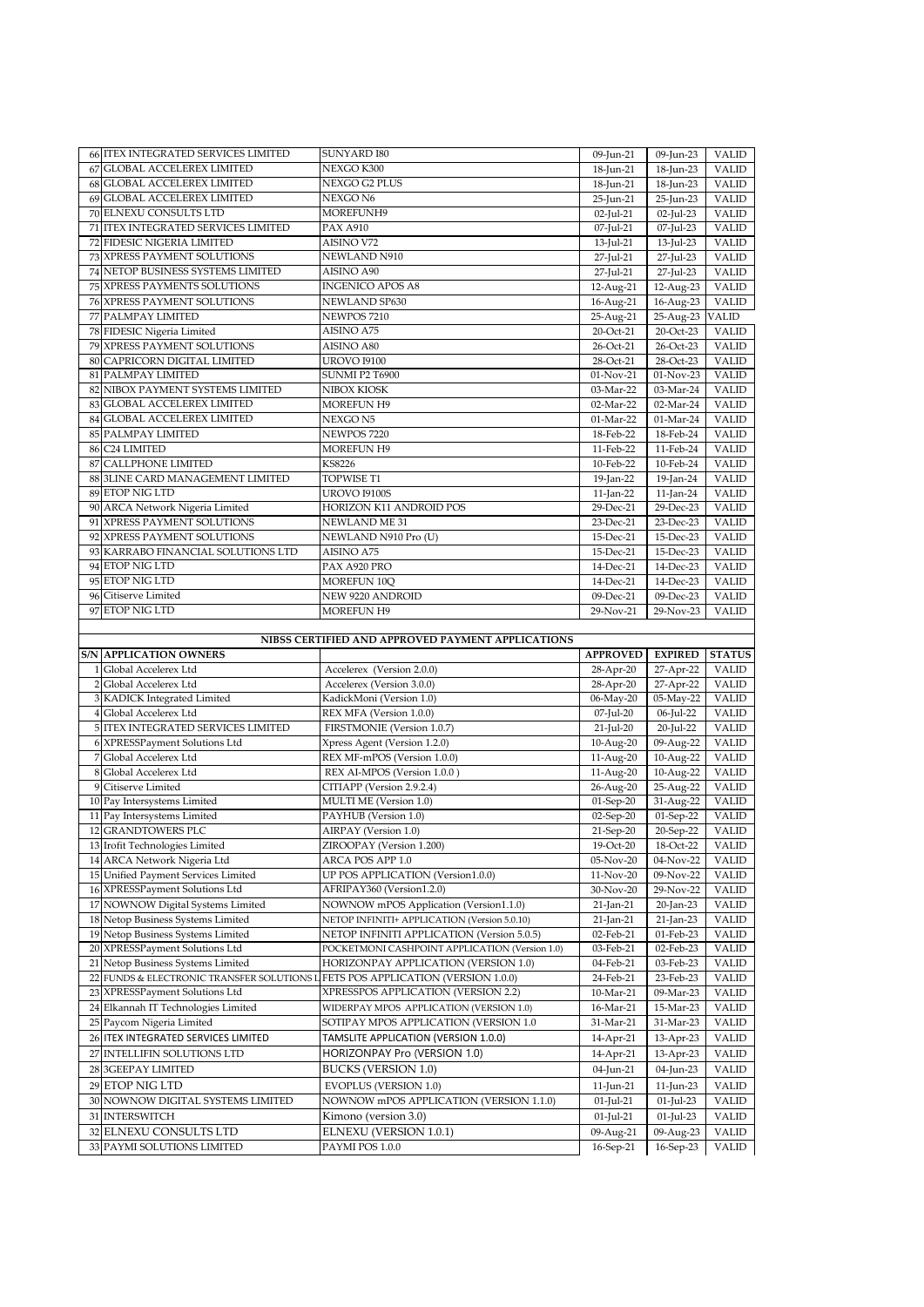|    | 66 ITEX INTEGRATED SERVICES LIMITED                  | SUNYARD I80                                       | 09-Jun-21              | 09-Jun-23              | VALID          |
|----|------------------------------------------------------|---------------------------------------------------|------------------------|------------------------|----------------|
|    |                                                      |                                                   |                        |                        |                |
|    | <b>67 GLOBAL ACCELEREX LIMITED</b>                   | NEXGO K300                                        | 18-Jun-21              | 18-Jun-23              | <b>VALID</b>   |
|    | 68 GLOBAL ACCELEREX LIMITED                          | NEXGO G2 PLUS                                     | 18-Jun-21              | 18-Jun-23              | <b>VALID</b>   |
|    | 69 GLOBAL ACCELEREX LIMITED                          | NEXGO N6                                          | 25-Jun-21              | 25-Jun-23              | <b>VALID</b>   |
|    | 70 ELNEXU CONSULTS LTD                               | MOREFUNH9                                         | $02$ -Jul-21           | 02-Jul-23              | <b>VALID</b>   |
|    | 71 ITEX INTEGRATED SERVICES LIMITED                  | <b>PAX A910</b>                                   | 07-Jul-21              | 07-Jul-23              | <b>VALID</b>   |
|    | 72 FIDESIC NIGERIA LIMITED                           | AISINO V72                                        | 13-Jul-21              | 13-Jul-23              | <b>VALID</b>   |
|    | 73 XPRESS PAYMENT SOLUTIONS                          | NEWLAND N910                                      | 27-Jul-21              | 27-Jul-23              | <b>VALID</b>   |
|    | 74 NETOP BUSINESS SYSTEMS LIMITED                    | AISINO A90                                        |                        |                        |                |
|    |                                                      |                                                   | 27-Jul-21              | 27-Jul-23              | <b>VALID</b>   |
|    | 75 XPRESS PAYMENTS SOLUTIONS                         | <b>INGENICO APOS A8</b>                           | 12-Aug-21              | 12-Aug-23              | VALID          |
|    | 76 XPRESS PAYMENT SOLUTIONS                          | NEWLAND SP630                                     | 16-Aug-21              | 16-Aug-23              | <b>VALID</b>   |
|    | 77 PALMPAY LIMITED                                   | NEWPOS 7210                                       | 25-Aug-21              | 25-Aug-23              | <b>VALID</b>   |
|    | 78 FIDESIC Nigeria Limited                           | AISINO A75                                        | 20-Oct-21              | 20-Oct-23              | <b>VALID</b>   |
|    | 79 XPRESS PAYMENT SOLUTIONS                          | AISINO A80                                        | 26-Oct-21              | 26-Oct-23              | <b>VALID</b>   |
|    | 80 CAPRICORN DIGITAL LIMITED                         | <b>UROVO 19100</b>                                | 28-Oct-21              | 28-Oct-23              | <b>VALID</b>   |
|    | 81 PALMPAY LIMITED                                   | <b>SUNMI P2 T6900</b>                             | 01-Nov-21              | 01-Nov-23              | <b>VALID</b>   |
|    | 82 NIBOX PAYMENT SYSTEMS LIMITED                     | NIBOX KIOSK                                       | 03-Mar-22              | 03-Mar-24              | <b>VALID</b>   |
|    |                                                      |                                                   |                        |                        |                |
|    | 83 GLOBAL ACCELEREX LIMITED                          | MOREFUN H9                                        | 02-Mar-22              | 02-Mar-24              | <b>VALID</b>   |
|    | 84 GLOBAL ACCELEREX LIMITED                          | NEXGO N5                                          | 01-Mar-22              | 01-Mar-24              | <b>VALID</b>   |
|    | 85 PALMPAY LIMITED                                   | NEWPOS 7220                                       | 18-Feb-22              | 18-Feb-24              | <b>VALID</b>   |
|    | 86 C24 LIMITED                                       | <b>MOREFUN H9</b>                                 | 11-Feb-22              | 11-Feb-24              | <b>VALID</b>   |
|    | 87 CALLPHONE LIMITED                                 | <b>KS8226</b>                                     | 10-Feb-22              | 10-Feb-24              | <b>VALID</b>   |
|    | 88 3LINE CARD MANAGEMENT LIMITED                     | TOPWISE T1                                        | 19-Jan-22              | 19-Jan-24              | <b>VALID</b>   |
|    | 89 ETOP NIG LTD                                      | <b>UROVO I9100S</b>                               | $11$ -Jan-22           | 11-Jan-24              | <b>VALID</b>   |
|    | 90 ARCA Network Nigeria Limited                      | HORIZON K11 ANDROID POS                           | 29-Dec-21              | 29-Dec-23              | <b>VALID</b>   |
|    | 91 XPRESS PAYMENT SOLUTIONS                          | NEWLAND ME 31                                     | 23-Dec-21              | 23-Dec-23              | <b>VALID</b>   |
|    |                                                      |                                                   |                        |                        |                |
|    | 92 XPRESS PAYMENT SOLUTIONS                          | NEWLAND N910 Pro (U)                              | 15-Dec-21              | 15-Dec-23              | <b>VALID</b>   |
|    | 93 KARRABO FINANCIAL SOLUTIONS LTD                   | AISINO A75                                        | 15-Dec-21              | 15-Dec-23              | <b>VALID</b>   |
|    | 94 ETOP NIG LTD                                      | PAX A920 PRO                                      | 14-Dec-21              | 14-Dec-23              | <b>VALID</b>   |
|    | 95 ETOP NIG LTD                                      | MOREFUN 10Q                                       | 14-Dec-21              | 14-Dec-23              | <b>VALID</b>   |
|    | 96 Citiserve Limited                                 | NEW 9220 ANDROID                                  | 09-Dec-21              | 09-Dec-23              | <b>VALID</b>   |
|    | 97 ETOP NIG LTD                                      | <b>MOREFUN H9</b>                                 | 29-Nov-21              | 29-Nov-23              | <b>VALID</b>   |
|    |                                                      |                                                   |                        |                        |                |
|    |                                                      | NIBSS CERTIFIED AND APPROVED PAYMENT APPLICATIONS |                        |                        |                |
|    |                                                      |                                                   |                        |                        |                |
|    |                                                      |                                                   |                        |                        |                |
|    | <b>S/N APPLICATION OWNERS</b>                        |                                                   | <b>APPROVED</b>        | <b>EXPIRED</b>         | <b>STATUS</b>  |
|    | 1 Global Accelerex Ltd                               | Accelerex (Version 2.0.0)                         | 28-Apr-20              | 27-Apr-22              | <b>VALID</b>   |
|    | 2 Global Accelerex Ltd                               | Accelerex (Version 3.0.0)                         | 28-Apr-20              | 27-Apr-22              | <b>VALID</b>   |
|    | 3 KADICK Integrated Limited                          | KadickMoni (Version 1.0)                          | 06-May-20              | 05-May-22              | <b>VALID</b>   |
|    | 4 Global Accelerex Ltd                               | REX MFA (Version 1.0.0)                           | 07-Jul-20              | 06-Jul-22              | <b>VALID</b>   |
|    | 5 ITEX INTEGRATED SERVICES LIMITED                   | FIRSTMONIE (Version 1.0.7)                        | $21$ -Jul-20           | 20-Jul-22              | <b>VALID</b>   |
|    | 6 XPRESSPayment Solutions Ltd                        | Xpress Agent (Version 1.2.0)                      | 10-Aug-20              | 09-Aug-22              | <b>VALID</b>   |
|    | 7 Global Accelerex Ltd                               | REX MF-mPOS (Version 1.0.0)                       | 11-Aug-20              | 10-Aug-22              | <b>VALID</b>   |
|    | 8 Global Accelerex Ltd                               | REX AI-MPOS (Version 1.0.0)                       | 11-Aug-20              | 10-Aug-22              | <b>VALID</b>   |
|    | 9 Citiserve Limited                                  | CITIAPP (Version 2.9.2.4)                         |                        |                        |                |
|    |                                                      |                                                   | 26-Aug-20              | 25-Aug-22              | VALID          |
|    | 10 Pay Intersystems Limited                          | MULTI ME (Version 1.0)                            | 01-Sep-20              | 31-Aug-22              | <b>VALID</b>   |
|    | 11 Pay Intersystems Limited                          | PAYHUB (Version 1.0)                              | $02-Sep-20$            | $01-Sep-22$            | <b>VALID</b>   |
|    | 12 GRANDTOWERS PLC                                   | AIRPAY (Version 1.0)                              | 21-Sep-20              | 20-Sep-22              | <b>VALID</b>   |
|    | 13 Irofit Technologies Limited                       | ZIROOPAY (Version 1.200)                          | 19-Oct-20              | 18-Oct-22              | <b>VALID</b>   |
|    | 14 ARCA Network Nigeria Ltd                          | ARCA POS APP 1.0                                  | 05-Nov-20              | 04-Nov-22              | VALID          |
|    | 15 Unified Payment Services Limited                  | UP POS APPLICATION (Version1.0.0)                 | 11-Nov-20              | 09-Nov-22              | VALID          |
|    | 16 XPRESSPayment Solutions Ltd                       | AFRIPAY360 (Version1.2.0)                         | 30-Nov-20              | 29-Nov-22              | VALID          |
|    | 17 NOWNOW Digital Systems Limited                    | NOWNOW mPOS Application (Version1.1.0)            | 21-Jan-21              | 20-Jan-23              | <b>VALID</b>   |
|    | 18 Netop Business Systems Limited                    | NETOP INFINITI+ APPLICATION (Version 5.0.10)      | 21-Jan-21              | 21-Jan-23              | VALID          |
|    | 19 Netop Business Systems Limited                    | NETOP INFINITI APPLICATION (Version 5.0.5)        | 02-Feb-21              | 01-Feb-23              | VALID          |
| 20 | XPRESSPayment Solutions Ltd                          | POCKETMONI CASHPOINT APPLICATION (Version 1.0)    | 03-Feb-21              | 02-Feb-23              | VALID          |
| 21 |                                                      |                                                   |                        |                        |                |
|    | Netop Business Systems Limited                       | HORIZONPAY APPLICATION (VERSION 1.0)              | 04-Feb-21              | 03-Feb-23              | VALID          |
| 22 | FUNDS & ELECTRONIC TRANSFER SOLUTIONS L              | FETS POS APPLICATION (VERSION 1.0.0)              | 24-Feb-21              | 23-Feb-23              | <b>VALID</b>   |
| 23 | XPRESSPayment Solutions Ltd                          | XPRESSPOS APPLICATION (VERSION 2.2)               | 10-Mar-21              | 09-Mar-23              | VALID          |
| 24 | Elkannah IT Technologies Limited                     | WIDERPAY MPOS APPLICATION (VERSION 1.0)           | 16-Mar-21              | 15-Mar-23              | <b>VALID</b>   |
| 25 | Paycom Nigeria Limited                               | SOTIPAY MPOS APPLICATION (VERSION 1.0             | 31-Mar-21              | 31-Mar-23              | VALID          |
|    | 26 ITEX INTEGRATED SERVICES LIMITED                  | TAMSLITE APPLICATION (VERSION 1.0.0)              | 14-Apr-21              | 13-Apr-23              | VALID          |
|    | 27 INTELLIFIN SOLUTIONS LTD                          | <b>HORIZONPAY Pro (VERSION 1.0)</b>               | 14-Apr-21              | 13-Apr-23              | VALID          |
|    | 28 3GEEPAY LIMITED                                   | <b>BUCKS (VERSION 1.0)</b>                        | 04-Jun-21              | 04-Jun-23              | <b>VALID</b>   |
|    |                                                      |                                                   |                        |                        |                |
|    | 29 ETOP NIG LTD                                      | <b>EVOPLUS (VERSION 1.0)</b>                      | 11-Jun-21              | 11-Jun-23              | VALID          |
|    | 30 NOWNOW DIGITAL SYSTEMS LIMITED                    | NOWNOW mPOS APPLICATION (VERSION 1.1.0)           | 01-Jul-21              | 01-Jul-23              | VALID          |
|    | 31 INTERSWITCH                                       | Kimono (version 3.0)                              | $01$ -Jul-21           | 01-Jul-23              | VALID          |
|    | 32 ELNEXU CONSULTS LTD<br>33 PAYMI SOLUTIONS LIMITED | <b>ELNEXU (VERSION 1.0.1)</b><br>PAYMI POS 1.0.0  | 09-Aug-21<br>16-Sep-21 | 09-Aug-23<br>16-Sep-23 | VALID<br>VALID |